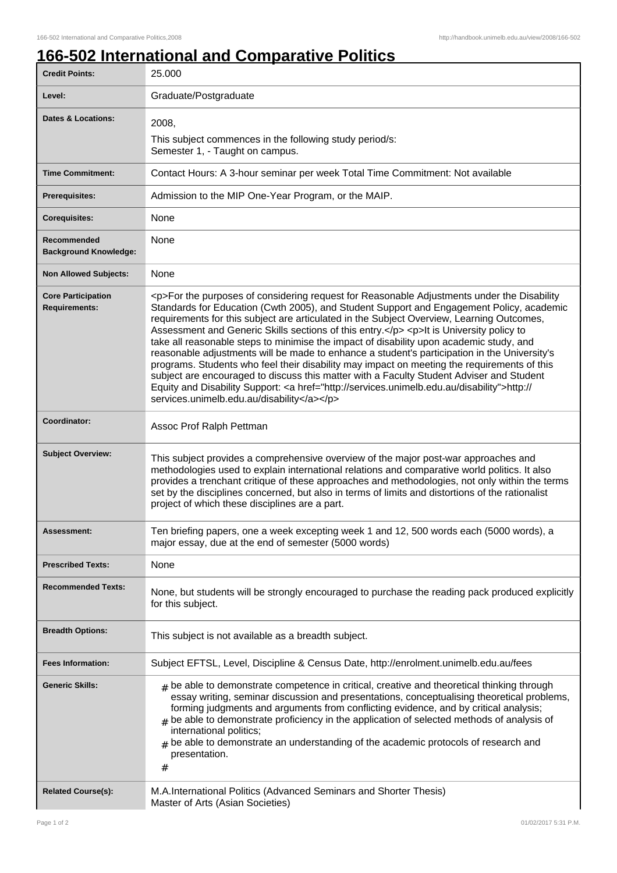## **166-502 International and Comparative Politics**

| <b>Credit Points:</b>                             | 25.000                                                                                                                                                                                                                                                                                                                                                                                                                                                                                                                                                                                                                                                                                                                                                                                                                                                                                                                       |
|---------------------------------------------------|------------------------------------------------------------------------------------------------------------------------------------------------------------------------------------------------------------------------------------------------------------------------------------------------------------------------------------------------------------------------------------------------------------------------------------------------------------------------------------------------------------------------------------------------------------------------------------------------------------------------------------------------------------------------------------------------------------------------------------------------------------------------------------------------------------------------------------------------------------------------------------------------------------------------------|
| Level:                                            | Graduate/Postgraduate                                                                                                                                                                                                                                                                                                                                                                                                                                                                                                                                                                                                                                                                                                                                                                                                                                                                                                        |
| <b>Dates &amp; Locations:</b>                     | 2008,<br>This subject commences in the following study period/s:<br>Semester 1, - Taught on campus.                                                                                                                                                                                                                                                                                                                                                                                                                                                                                                                                                                                                                                                                                                                                                                                                                          |
| <b>Time Commitment:</b>                           | Contact Hours: A 3-hour seminar per week Total Time Commitment: Not available                                                                                                                                                                                                                                                                                                                                                                                                                                                                                                                                                                                                                                                                                                                                                                                                                                                |
| <b>Prerequisites:</b>                             | Admission to the MIP One-Year Program, or the MAIP.                                                                                                                                                                                                                                                                                                                                                                                                                                                                                                                                                                                                                                                                                                                                                                                                                                                                          |
| <b>Corequisites:</b>                              | None                                                                                                                                                                                                                                                                                                                                                                                                                                                                                                                                                                                                                                                                                                                                                                                                                                                                                                                         |
| Recommended<br><b>Background Knowledge:</b>       | None                                                                                                                                                                                                                                                                                                                                                                                                                                                                                                                                                                                                                                                                                                                                                                                                                                                                                                                         |
| <b>Non Allowed Subjects:</b>                      | None                                                                                                                                                                                                                                                                                                                                                                                                                                                                                                                                                                                                                                                                                                                                                                                                                                                                                                                         |
| <b>Core Participation</b><br><b>Requirements:</b> | <p>For the purposes of considering request for Reasonable Adjustments under the Disability<br/>Standards for Education (Cwth 2005), and Student Support and Engagement Policy, academic<br/>requirements for this subject are articulated in the Subject Overview, Learning Outcomes,<br/>Assessment and Generic Skills sections of this entry.</p> <p>lt is University policy to<br/>take all reasonable steps to minimise the impact of disability upon academic study, and<br/>reasonable adjustments will be made to enhance a student's participation in the University's<br/>programs. Students who feel their disability may impact on meeting the requirements of this<br/>subject are encouraged to discuss this matter with a Faculty Student Adviser and Student<br/>Equity and Disability Support: &lt; a href="http://services.unimelb.edu.au/disability"&gt;http://<br/>services.unimelb.edu.au/disability</p> |
| <b>Coordinator:</b>                               | Assoc Prof Ralph Pettman                                                                                                                                                                                                                                                                                                                                                                                                                                                                                                                                                                                                                                                                                                                                                                                                                                                                                                     |
| <b>Subject Overview:</b>                          | This subject provides a comprehensive overview of the major post-war approaches and<br>methodologies used to explain international relations and comparative world politics. It also<br>provides a trenchant critique of these approaches and methodologies, not only within the terms<br>set by the disciplines concerned, but also in terms of limits and distortions of the rationalist<br>project of which these disciplines are a part.                                                                                                                                                                                                                                                                                                                                                                                                                                                                                 |
| Assessment:                                       | Ten briefing papers, one a week excepting week 1 and 12, 500 words each (5000 words), a<br>major essay, due at the end of semester (5000 words)                                                                                                                                                                                                                                                                                                                                                                                                                                                                                                                                                                                                                                                                                                                                                                              |
| <b>Prescribed Texts:</b>                          | None                                                                                                                                                                                                                                                                                                                                                                                                                                                                                                                                                                                                                                                                                                                                                                                                                                                                                                                         |
| <b>Recommended Texts:</b>                         | None, but students will be strongly encouraged to purchase the reading pack produced explicitly<br>for this subject.                                                                                                                                                                                                                                                                                                                                                                                                                                                                                                                                                                                                                                                                                                                                                                                                         |
| <b>Breadth Options:</b>                           | This subject is not available as a breadth subject.                                                                                                                                                                                                                                                                                                                                                                                                                                                                                                                                                                                                                                                                                                                                                                                                                                                                          |
| <b>Fees Information:</b>                          | Subject EFTSL, Level, Discipline & Census Date, http://enrolment.unimelb.edu.au/fees                                                                                                                                                                                                                                                                                                                                                                                                                                                                                                                                                                                                                                                                                                                                                                                                                                         |
| <b>Generic Skills:</b>                            | $_{\text{\#}}$ be able to demonstrate competence in critical, creative and theoretical thinking through<br>essay writing, seminar discussion and presentations, conceptualising theoretical problems,<br>forming judgments and arguments from conflicting evidence, and by critical analysis;<br>be able to demonstrate proficiency in the application of selected methods of analysis of<br>international politics;<br>$#$ be able to demonstrate an understanding of the academic protocols of research and<br>presentation.<br>$^{\#}$                                                                                                                                                                                                                                                                                                                                                                                    |
| <b>Related Course(s):</b>                         | M.A.International Politics (Advanced Seminars and Shorter Thesis)<br>Master of Arts (Asian Societies)                                                                                                                                                                                                                                                                                                                                                                                                                                                                                                                                                                                                                                                                                                                                                                                                                        |